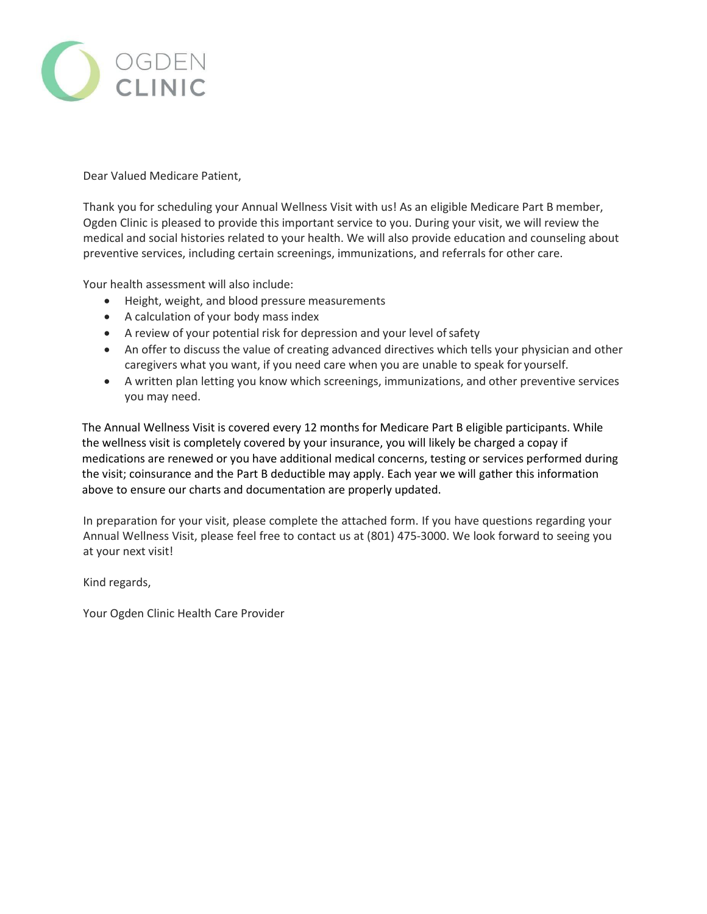

Dear Valued Medicare Patient,

Thank you for scheduling your Annual Wellness Visit with us! As an eligible Medicare Part B member, Ogden Clinic is pleased to provide this important service to you. During your visit, we will review the medical and social histories related to your health. We will also provide education and counseling about preventive services, including certain screenings, immunizations, and referrals for other care.

Your health assessment will also include:

- Height, weight, and blood pressure measurements
- A calculation of your body mass index
- A review of your potential risk for depression and your level ofsafety
- An offer to discuss the value of creating advanced directives which tells your physician and other caregivers what you want, if you need care when you are unable to speak for yourself.
- A written plan letting you know which screenings, immunizations, and other preventive services you may need.

The Annual Wellness Visit is covered every 12 months for Medicare Part B eligible participants. While the wellness visit is completely covered by your insurance, you will likely be charged a copay if medications are renewed or you have additional medical concerns, testing or services performed during the visit; coinsurance and the Part B deductible may apply. Each year we will gather this information above to ensure our charts and documentation are properly updated.

In preparation for your visit, please complete the attached form. If you have questions regarding your Annual Wellness Visit, please feel free to contact us at (801) 475-3000. We look forward to seeing you at your next visit!

Kind regards,

Your Ogden Clinic Health Care Provider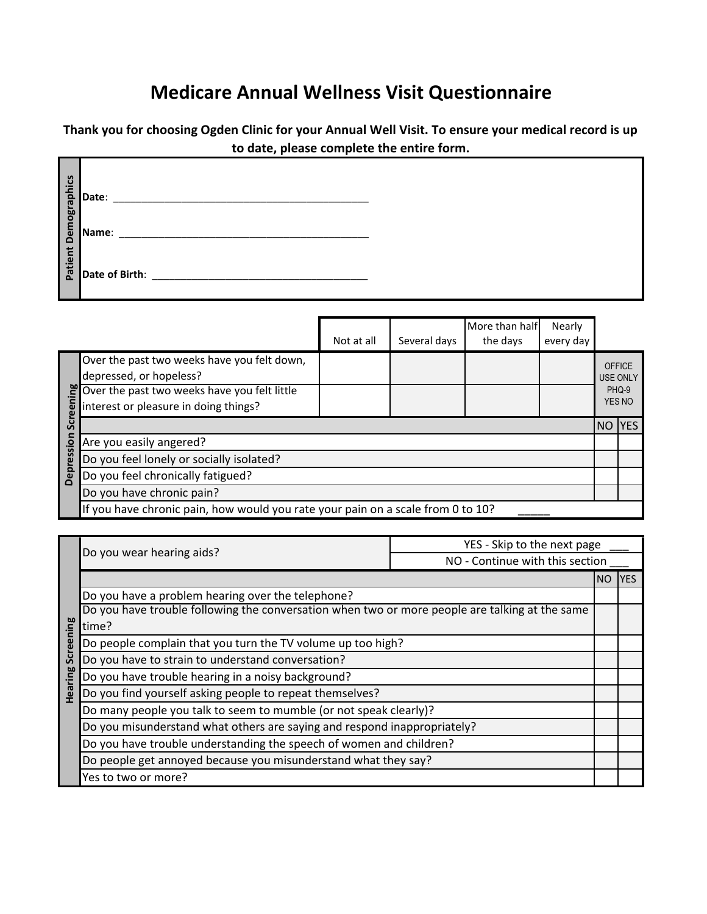## **Medicare Annual Wellness Visit Questionnaire**

**Thank you for choosing Ogden Clinic for your Annual Well Visit. To ensure your medical record is up to date, please complete the entire form.** 

|                             | Date:          |
|-----------------------------|----------------|
| <b>Patient Demographics</b> | Name:          |
|                             | Date of Birth: |

|      |                                                                                                                                | Not at all | Several days | More than half<br>the days | Nearly<br>every day |        |                                  |
|------|--------------------------------------------------------------------------------------------------------------------------------|------------|--------------|----------------------------|---------------------|--------|----------------------------------|
|      | Over the past two weeks have you felt down,<br>depressed, or hopeless?                                                         |            |              |                            |                     |        | <b>OFFICE</b><br><b>USE ONLY</b> |
| ω    | Over the past two weeks have you felt little<br>interest or pleasure in doing things?<br>interest or pleasure in doing things? |            |              |                            |                     |        | PHQ-9<br>YES NO                  |
| ູ    |                                                                                                                                |            |              |                            |                     | NO YES |                                  |
| sion | Are you easily angered?                                                                                                        |            |              |                            |                     |        |                                  |
| res  | Do you feel lonely or socially isolated?                                                                                       |            |              |                            |                     |        |                                  |
| Depr | Do you feel chronically fatigued?                                                                                              |            |              |                            |                     |        |                                  |
|      | Do you have chronic pain?                                                                                                      |            |              |                            |                     |        |                                  |
|      | If you have chronic pain, how would you rate your pain on a scale from 0 to 10?                                                |            |              |                            |                     |        |                                  |

|              | Do you wear hearing aids?                                                                      | YES - Skip to the next page     |  |     |
|--------------|------------------------------------------------------------------------------------------------|---------------------------------|--|-----|
|              |                                                                                                | NO - Continue with this section |  |     |
|              |                                                                                                |                                 |  | YES |
|              | Do you have a problem hearing over the telephone?                                              |                                 |  |     |
|              | Do you have trouble following the conversation when two or more people are talking at the same |                                 |  |     |
| ning         | time?                                                                                          |                                 |  |     |
| <b>Scree</b> | Do people complain that you turn the TV volume up too high?                                    |                                 |  |     |
|              | Do you have to strain to understand conversation?                                              |                                 |  |     |
|              | Do you have trouble hearing in a noisy background?                                             |                                 |  |     |
| Hearing      | Do you find yourself asking people to repeat themselves?                                       |                                 |  |     |
|              | Do many people you talk to seem to mumble (or not speak clearly)?                              |                                 |  |     |
|              | Do you misunderstand what others are saying and respond inappropriately?                       |                                 |  |     |
|              | Do you have trouble understanding the speech of women and children?                            |                                 |  |     |
|              | Do people get annoyed because you misunderstand what they say?                                 |                                 |  |     |
|              | Yes to two or more?                                                                            |                                 |  |     |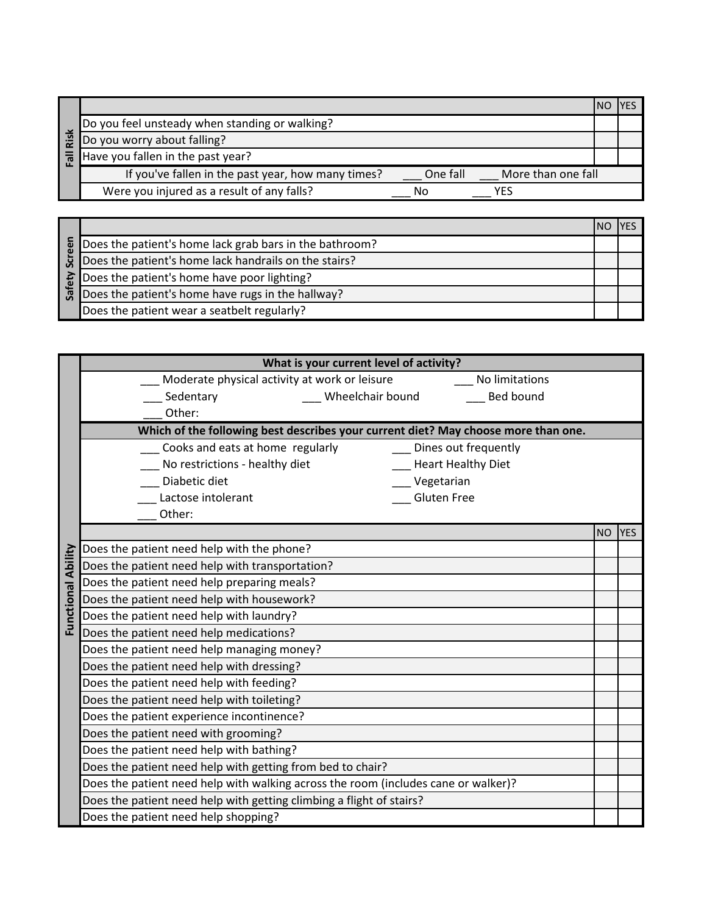|      |                                                    |          |                    | ΝO |  |
|------|----------------------------------------------------|----------|--------------------|----|--|
|      | Do you feel unsteady when standing or walking?     |          |                    |    |  |
| Risk | Do you worry about falling?                        |          |                    |    |  |
|      | Have you fallen in the past year?                  |          |                    |    |  |
|      | If you've fallen in the past year, how many times? | One fall | More than one fall |    |  |
|      | Were you injured as a result of any falls?         | No       | YFS                |    |  |

|     | Does the patient's home lack grab bars in the bathroom?                                                                             |  |
|-----|-------------------------------------------------------------------------------------------------------------------------------------|--|
| Scr | Does the patient's home lack handrails on the stairs?                                                                               |  |
|     | $\sum_{k=1}^{n} \frac{ \text{Does the patient's home have poor lighting?} } { \text{Does the patient's home have poor lighting?} }$ |  |
| ്പ് | Does the patient's home have rugs in the hallway?                                                                                   |  |
|     | Does the patient wear a seatbelt regularly?                                                                                         |  |

|            | What is your current level of activity?                                            |           |            |  |  |  |
|------------|------------------------------------------------------------------------------------|-----------|------------|--|--|--|
|            | Moderate physical activity at work or leisure<br>No limitations                    |           |            |  |  |  |
|            | <b>Bed bound</b><br>Sedentary<br>Wheelchair bound                                  |           |            |  |  |  |
|            | Other:                                                                             |           |            |  |  |  |
|            | Which of the following best describes your current diet? May choose more than one. |           |            |  |  |  |
|            | Cooks and eats at home regularly<br>Dines out frequently                           |           |            |  |  |  |
|            | No restrictions - healthy diet<br><b>Heart Healthy Diet</b>                        |           |            |  |  |  |
|            | Diabetic diet<br>Vegetarian                                                        |           |            |  |  |  |
|            | <b>Gluten Free</b><br>Lactose intolerant                                           |           |            |  |  |  |
|            | Other:                                                                             |           |            |  |  |  |
|            |                                                                                    | <b>NO</b> | <b>YES</b> |  |  |  |
|            | Does the patient need help with the phone?                                         |           |            |  |  |  |
| Ability    | Does the patient need help with transportation?                                    |           |            |  |  |  |
|            | Does the patient need help preparing meals?                                        |           |            |  |  |  |
|            | Does the patient need help with housework?                                         |           |            |  |  |  |
| Functional | Does the patient need help with laundry?                                           |           |            |  |  |  |
|            | Does the patient need help medications?                                            |           |            |  |  |  |
|            | Does the patient need help managing money?                                         |           |            |  |  |  |
|            | Does the patient need help with dressing?                                          |           |            |  |  |  |
|            | Does the patient need help with feeding?                                           |           |            |  |  |  |
|            | Does the patient need help with toileting?                                         |           |            |  |  |  |
|            | Does the patient experience incontinence?                                          |           |            |  |  |  |
|            | Does the patient need with grooming?                                               |           |            |  |  |  |
|            | Does the patient need help with bathing?                                           |           |            |  |  |  |
|            | Does the patient need help with getting from bed to chair?                         |           |            |  |  |  |
|            | Does the patient need help with walking across the room (includes cane or walker)? |           |            |  |  |  |
|            | Does the patient need help with getting climbing a flight of stairs?               |           |            |  |  |  |
|            | Does the patient need help shopping?                                               |           |            |  |  |  |